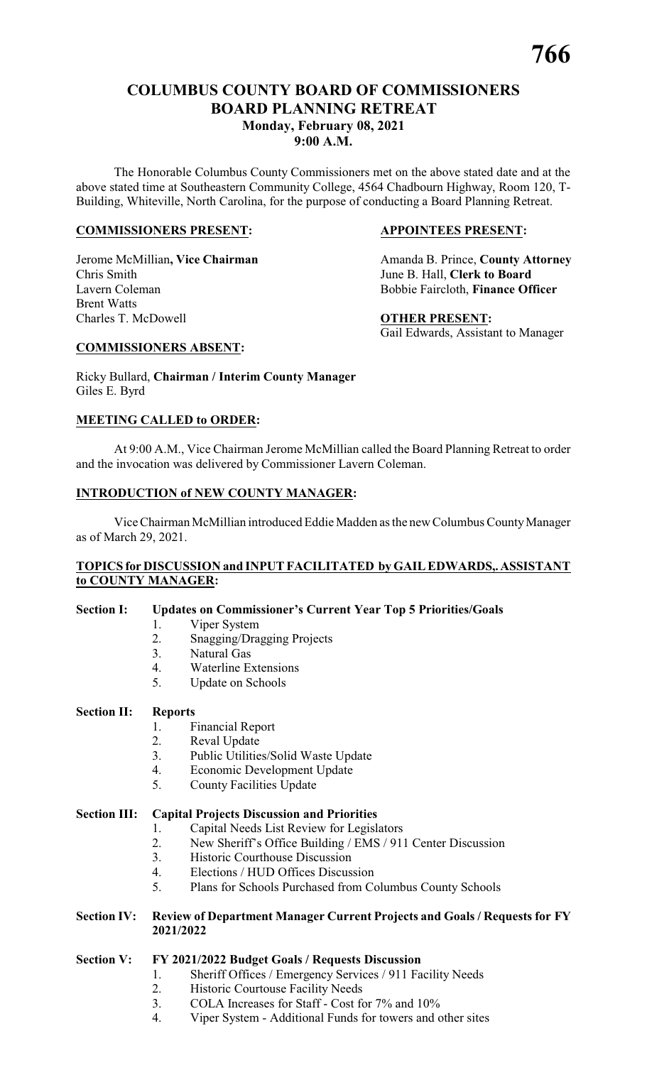The Honorable Columbus County Commissioners met on the above stated date and at the above stated time at Southeastern Community College, 4564 Chadbourn Highway, Room 120, T-Building, Whiteville, North Carolina, for the purpose of conducting a Board Planning Retreat.

# **COMMISSIONERS PRESENT: APPOINTEES PRESENT:**

Chris Smith June B. Hall, **Clerk to Board** Lavern Coleman Bobbie Faircloth, **Finance Officer** Brent Watts Charles T. McDowell **OTHER PRESENT:**

Jerome McMillian, Vice Chairman Amanda B. Prince, County Attorney

Gail Edwards, Assistant to Manager

# **COMMISSIONERS ABSENT:**

Ricky Bullard, **Chairman / Interim County Manager** Giles E. Byrd

# **MEETING CALLED to ORDER:**

At 9:00 A.M., Vice Chairman Jerome McMillian called the Board Planning Retreat to order and the invocation was delivered by Commissioner Lavern Coleman.

# **INTRODUCTION of NEW COUNTY MANAGER:**

Vice Chairman McMillian introduced Eddie Madden as the new Columbus CountyManager as of March 29, 2021.

# **TOPICS for DISCUSSION and INPUT FACILITATED by GAIL EDWARDS,.ASSISTANT to COUNTY MANAGER:**

# **Section I: Updates on Commissioner's Current Year Top 5 Priorities/Goals**

- 1. Viper System
	- 2. Snagging/Dragging Projects
	- 3. Natural Gas
	- 4. Waterline Extensions
	- 5. Update on Schools

# **Section II: Reports**

# 1. Financial Report

- 2. Reval Update
- 3. Public Utilities/Solid Waste Update
- 4. Economic Development Update
- 5. County Facilities Update

# **Section III: Capital Projects Discussion and Priorities**

- 1. Capital Needs List Review for Legislators
- 2. New Sheriff's Office Building / EMS / 911 Center Discussion
- 3. Historic Courthouse Discussion
- 4. Elections / HUD Offices Discussion
- 5. Plans for Schools Purchased from Columbus County Schools

# **Section IV: Review of Department Manager Current Projects and Goals / Requests for FY 2021/2022**

# **Section V: FY 2021/2022 Budget Goals / Requests Discussion**

- 1. Sheriff Offices / Emergency Services / 911 Facility Needs
- 2. Historic Courtouse Facility Needs
- 3. COLA Increases for Staff Cost for 7% and 10%
- 4. Viper System Additional Funds for towers and other sites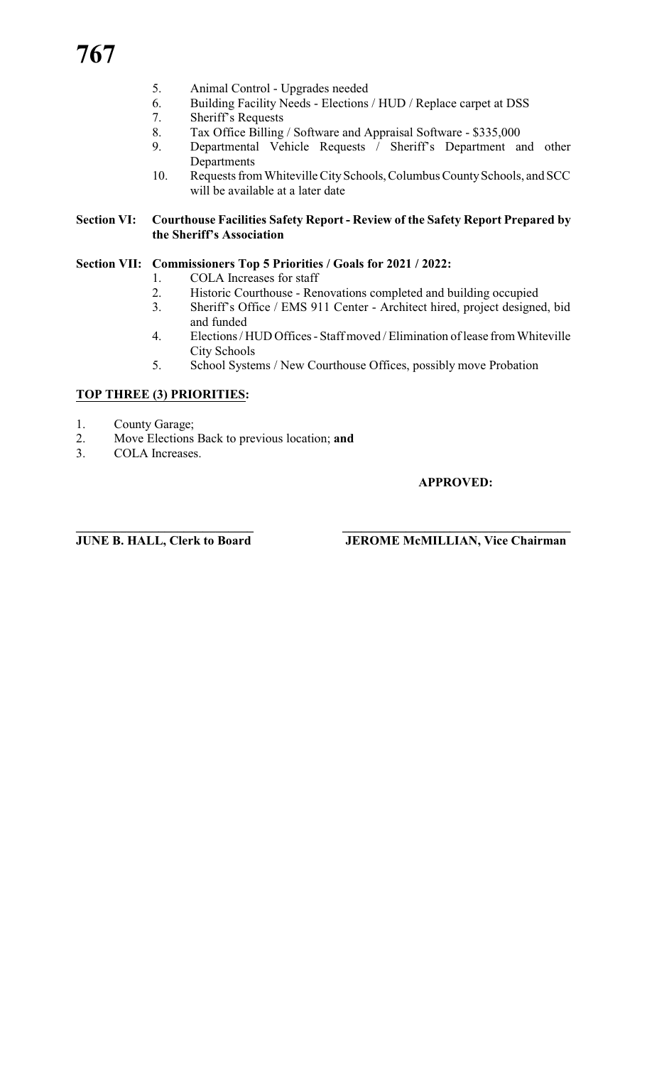- 5. Animal Control Upgrades needed
- 6. Building Facility Needs Elections / HUD / Replace carpet at DSS
- 7. Sheriff's Requests
- 8. Tax Office Billing / Software and Appraisal Software \$335,000
- 9. Departmental Vehicle Requests / Sheriff's Department and other Departments
- 10. Requests from Whiteville City Schools, Columbus County Schools, and SCC will be available at a later date

# **Section VI: Courthouse Facilities Safety Report - Review of the Safety Report Prepared by the Sheriff's Association**

# **Section VII: Commissioners Top 5 Priorities / Goals for 2021 / 2022:**

- 1. COLA Increases for staff<br>2. Historic Courthouse Rer
- Historic Courthouse Renovations completed and building occupied
- 3. Sheriff's Office / EMS 911 Center Architect hired, project designed, bid and funded
- 4. Elections / HUD Offices Staff moved / Elimination of lease from Whiteville City Schools
- 5. School Systems / New Courthouse Offices, possibly move Probation

# **TOP THREE (3) PRIORITIES:**

- 1. County Garage;
- 2. Move Elections Back to previous location; **and**<br>3. COLA Increases.
- COLA Increases.

# **APPROVED:**

**\_\_\_\_\_\_\_\_\_\_\_\_\_\_\_\_\_\_\_\_\_\_\_\_\_\_\_\_ \_\_\_\_\_\_\_\_\_\_\_\_\_\_\_\_\_\_\_\_\_\_\_\_\_\_\_\_\_\_\_\_\_\_\_\_**

**JUNE B. HALL, Clerk to Board JEROME McMILLIAN, Vice Chairman**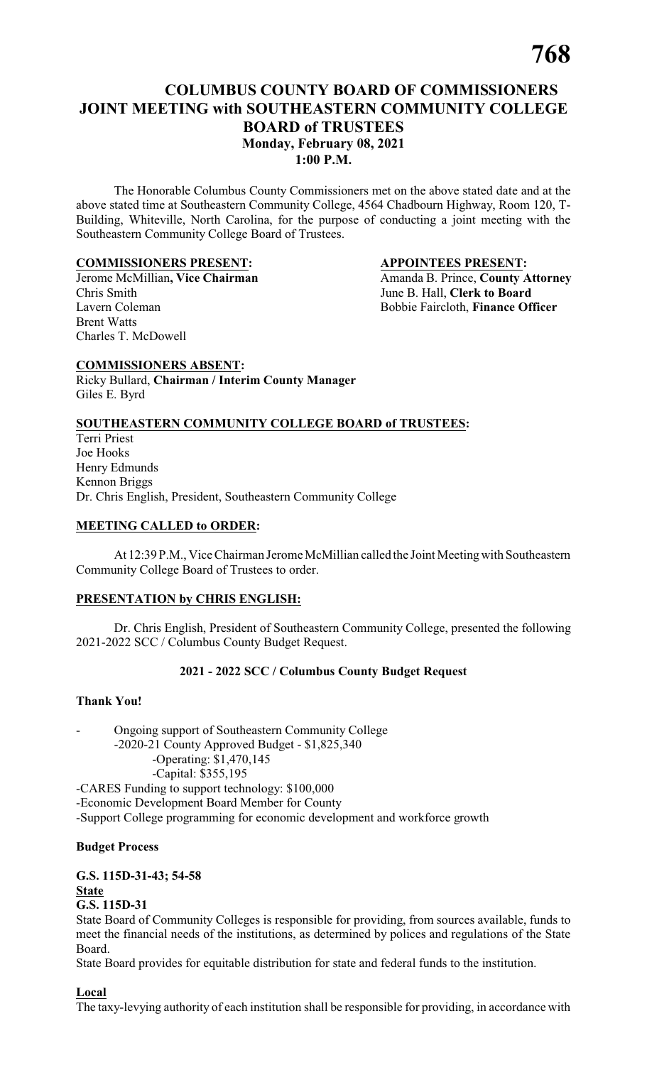# **COLUMBUS COUNTY BOARD OF COMMISSIONERS JOINT MEETING with SOUTHEASTERN COMMUNITY COLLEGE BOARD of TRUSTEES Monday, February 08, 2021 1:00 P.M.**

The Honorable Columbus County Commissioners met on the above stated date and at the above stated time at Southeastern Community College, 4564 Chadbourn Highway, Room 120, T-Building, Whiteville, North Carolina, for the purpose of conducting a joint meeting with the Southeastern Community College Board of Trustees.

# **COMMISSIONERS PRESENT: APPOINTEES PRESENT:**

Chris Smith June B. Hall, **Clerk to Board** Brent Watts Charles T. McDowell

Jerome McMillian, Vice Chairman<br>
Chris Smith<br> **Amanda B. Prince, County Attorney**<br>
June B. Hall, Clerk to Board Bobbie Faircloth, Finance Officer

# **COMMISSIONERS ABSENT:**

Ricky Bullard, **Chairman / Interim County Manager** Giles E. Byrd

# **SOUTHEASTERN COMMUNITY COLLEGE BOARD of TRUSTEES:**

Terri Priest Joe Hooks Henry Edmunds Kennon Briggs Dr. Chris English, President, Southeastern Community College

# **MEETING CALLED to ORDER:**

At 12:39 P.M., Vice Chairman Jerome McMillian called the Joint Meetingwith Southeastern Community College Board of Trustees to order.

# **PRESENTATION by CHRIS ENGLISH:**

Dr. Chris English, President of Southeastern Community College, presented the following 2021-2022 SCC / Columbus County Budget Request.

# **2021 - 2022 SCC / Columbus County Budget Request**

# **Thank You!**

- Ongoing support of Southeastern Community College -2020-21 County Approved Budget - \$1,825,340 -Operating: \$1,470,145 -Capital: \$355,195 -CARES Funding to support technology: \$100,000 -Economic Development Board Member for County -Support College programming for economic development and workforce growth

# **Budget Process**

**G.S. 115D-31-43; 54-58 State G.S. 115D-31**

State Board of Community Colleges is responsible for providing, from sources available, funds to meet the financial needs of the institutions, as determined by polices and regulations of the State Board.

State Board provides for equitable distribution for state and federal funds to the institution.

**Local**

The taxy-levying authority of each institution shall be responsible for providing, in accordance with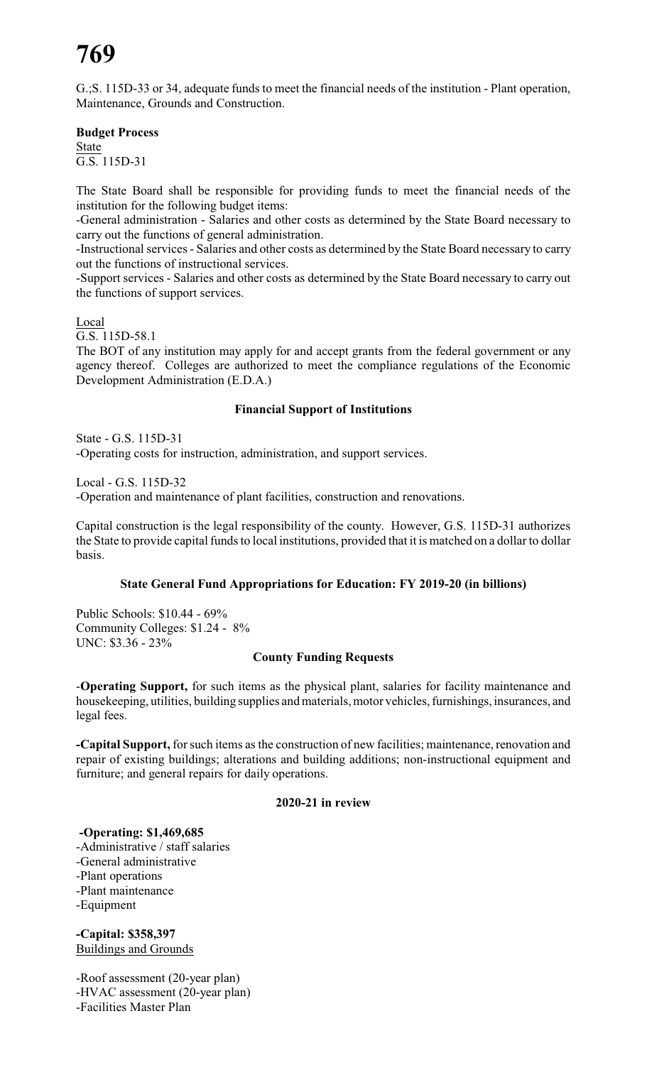# **769**

G.;S. 115D-33 or 34, adequate funds to meet the financial needs of the institution - Plant operation, Maintenance, Grounds and Construction.

# **Budget Process**

State G.S. 115D-31

The State Board shall be responsible for providing funds to meet the financial needs of the institution for the following budget items:

-General administration - Salaries and other costs as determined by the State Board necessary to carry out the functions of general administration.

-Instructional services - Salaries and other costs as determined by the State Board necessary to carry out the functions of instructional services.

-Support services - Salaries and other costs as determined by the State Board necessary to carry out the functions of support services.

Local

G.S. 115D-58.1

The BOT of any institution may apply for and accept grants from the federal government or any agency thereof. Colleges are authorized to meet the compliance regulations of the Economic Development Administration (E.D.A.)

# **Financial Support of Institutions**

State - G.S. 115D-31 -Operating costs for instruction, administration, and support services.

Local - G.S. 115D-32

-Operation and maintenance of plant facilities, construction and renovations.

Capital construction is the legal responsibility of the county. However, G.S. 115D-31 authorizes the State to provide capital funds to local institutions, provided that it is matched on a dollar to dollar basis.

# **State General Fund Appropriations for Education: FY 2019-20 (in billions)**

Public Schools: \$10.44 - 69% Community Colleges: \$1.24 - 8% UNC: \$3.36 - 23%

# **County Funding Requests**

-**Operating Support,** for such items as the physical plant, salaries for facility maintenance and housekeeping, utilities, building supplies and materials, motor vehicles, furnishings, insurances, and legal fees.

**-Capital Support,** for such items as the construction of new facilities; maintenance, renovation and repair of existing buildings; alterations and building additions; non-instructional equipment and furniture; and general repairs for daily operations.

# **2020-21 in review**

**-Operating: \$1,469,685** -Administrative / staff salaries -General administrative -Plant operations -Plant maintenance -Equipment

**-Capital: \$358,397** Buildings and Grounds

-Roof assessment (20-year plan) -HVAC assessment (20-year plan) -Facilities Master Plan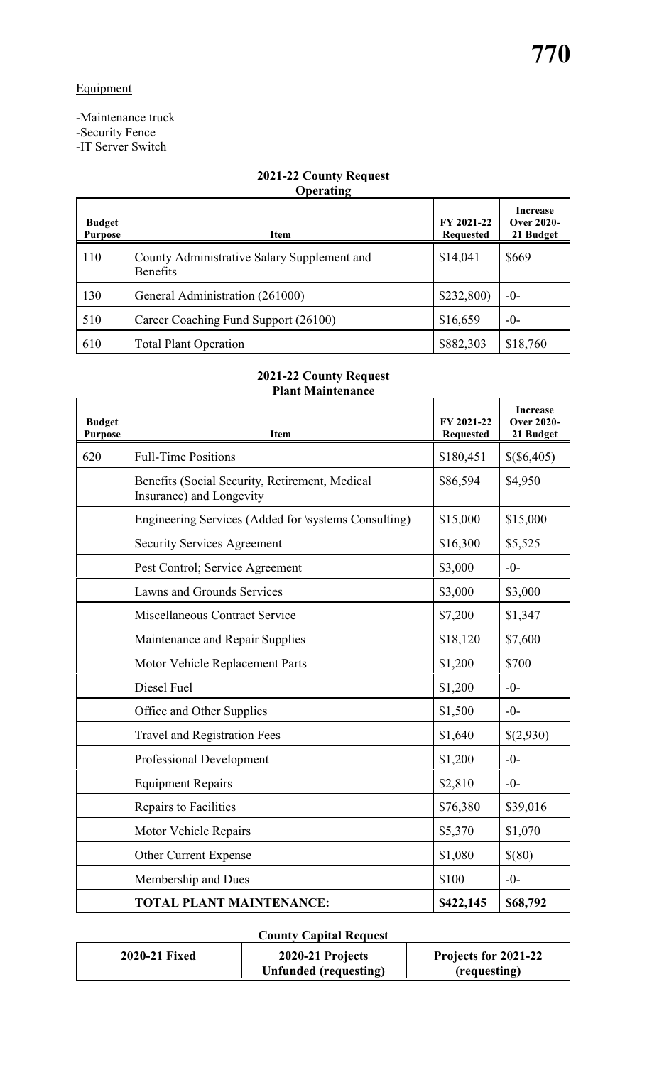-Maintenance truck -Security Fence

-IT Server Switch

# **2021-22 County Request Operating**

| <b>Budget</b><br><b>Purpose</b> | <b>Item</b>                                                    | FY 2021-22<br><b>Requested</b> | <b>Increase</b><br><b>Over 2020-</b><br>21 Budget |
|---------------------------------|----------------------------------------------------------------|--------------------------------|---------------------------------------------------|
| 110                             | County Administrative Salary Supplement and<br><b>Benefits</b> | \$14,041                       | \$669                                             |
| 130                             | General Administration (261000)                                | \$232,800                      | $-0-$                                             |
| 510                             | Career Coaching Fund Support (26100)                           | \$16,659                       | $-0-$                                             |
| 610                             | <b>Total Plant Operation</b>                                   | \$882,303                      | \$18,760                                          |

# **2021-22 County Request Plant Maintenance**

| <b>Budget</b><br><b>Purpose</b> | <b>Item</b>                                                                | FY 2021-22<br><b>Requested</b> | <b>Increase</b><br><b>Over 2020-</b><br>21 Budget |
|---------------------------------|----------------------------------------------------------------------------|--------------------------------|---------------------------------------------------|
| 620                             | <b>Full-Time Positions</b>                                                 | \$180,451                      | \$(6,405)                                         |
|                                 | Benefits (Social Security, Retirement, Medical<br>Insurance) and Longevity | \$86,594                       | \$4,950                                           |
|                                 | Engineering Services (Added for \systems Consulting)                       | \$15,000                       | \$15,000                                          |
|                                 | <b>Security Services Agreement</b>                                         | \$16,300                       | \$5,525                                           |
|                                 | Pest Control; Service Agreement                                            | \$3,000                        | $-0-$                                             |
|                                 | Lawns and Grounds Services                                                 | \$3,000                        | \$3,000                                           |
|                                 | Miscellaneous Contract Service                                             | \$7,200                        | \$1,347                                           |
|                                 | Maintenance and Repair Supplies                                            | \$18,120                       | \$7,600                                           |
|                                 | Motor Vehicle Replacement Parts                                            | \$1,200                        | \$700                                             |
|                                 | Diesel Fuel                                                                | \$1,200                        | $-0-$                                             |
|                                 | Office and Other Supplies                                                  | \$1,500                        | $-0-$                                             |
|                                 | <b>Travel and Registration Fees</b>                                        | \$1,640                        | \$(2,930)                                         |
|                                 | <b>Professional Development</b>                                            | \$1,200                        | $-0-$                                             |
|                                 | <b>Equipment Repairs</b>                                                   | \$2,810                        | $-0-$                                             |
|                                 | Repairs to Facilities                                                      | \$76,380                       | \$39,016                                          |
|                                 | Motor Vehicle Repairs                                                      | \$5,370                        | \$1,070                                           |
|                                 | Other Current Expense                                                      | \$1,080                        | \$(80)                                            |
|                                 | Membership and Dues                                                        | \$100                          | $-0-$                                             |
|                                 | <b>TOTAL PLANT MAINTENANCE:</b>                                            | \$422,145                      | \$68,792                                          |

# **County Capital Request**

| 2020-21 Fixed | 2020-21 Projects      | Projects for 2021-22 |
|---------------|-----------------------|----------------------|
|               | Unfunded (requesting) | (requesting)         |